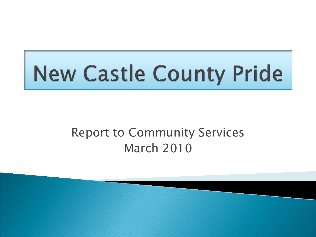## Report to Community Services March 2010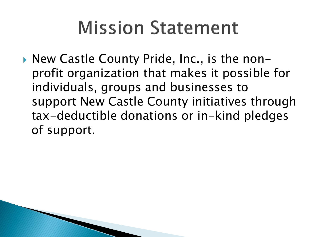# **Mission Statement**

▶ New Castle County Pride, Inc., is the nonprofit organization that makes it possible for individuals, groups and businesses to support New Castle County initiatives through tax-deductible donations or in-kind pledges of support.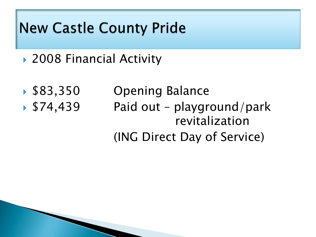- ▶ 2008 Financial Activity
- 
- 

▶ \$83,350 Opening Balance ▶ \$74,439 Paid out – playground/park revitalization (ING Direct Day of Service)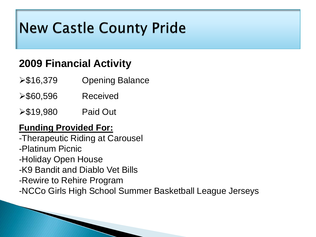### **2009 Financial Activity**

- **≻\$16,379 Opening Balance**
- $\blacktriangleright$  \$60,596 Received
- **≻\$19,980 Paid Out**

### **Funding Provided For:**

-Therapeutic Riding at Carousel -Platinum Picnic -Holiday Open House -K9 Bandit and Diablo Vet Bills -Rewire to Rehire Program -NCCo Girls High School Summer Basketball League Jerseys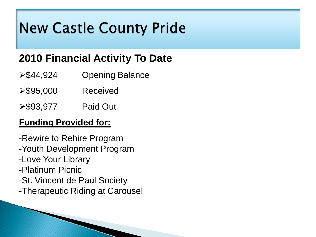### **2010 Financial Activity To Date**

- **≻\$44,924 Opening Balance**
- $\triangleright$  \$95,000 Received
- **≻\$93,977 Paid Out**

### **Funding Provided for:**

-Rewire to Rehire Program -Youth Development Program -Love Your Library -Platinum Picnic -St. Vincent de Paul Society -Therapeutic Riding at Carousel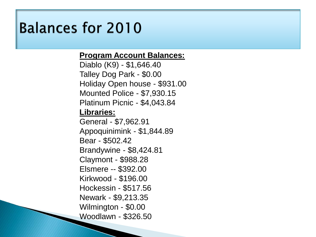## **Balances for 2010**

### **Program Account Balances:**

Diablo (K9) - \$1,646.40 Talley Dog Park - \$0.00 Holiday Open house - \$931.00 Mounted Police - \$7,930.15 Platinum Picnic - \$4,043.84 **Libraries:** General - \$7,962.91 Appoquinimink - \$1,844.89 Bear - \$502.42 Brandywine - \$8,424.81 Claymont - \$988.28 Elsmere -- \$392.00 Kirkwood - \$196.00 Hockessin - \$517.56 Newark - \$9,213.35 Wilmington - \$0.00 Woodlawn - \$326.50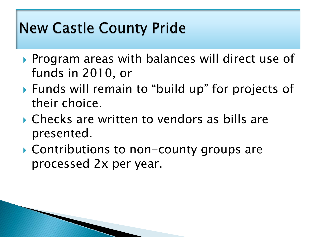- ▶ Program areas with balances will direct use of funds in 2010, or
- Funds will remain to "build up" for projects of their choice.
- Checks are written to vendors as bills are presented.
- ▶ Contributions to non-county groups are processed 2x per year.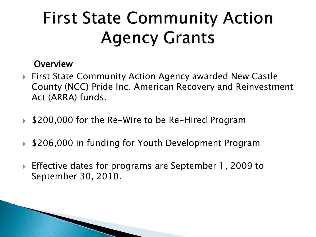# **First State Community Action Agency Grants**

### **Overview**

- ▶ First State Community Action Agency awarded New Castle County (NCC) Pride Inc. American Recovery and Reinvestment Act (ARRA) funds.
- ▶ \$200,000 for the Re-Wire to be Re-Hired Program
- ▶ \$206,000 in funding for Youth Development Program
- ▶ Effective dates for programs are September 1, 2009 to September 30, 2010.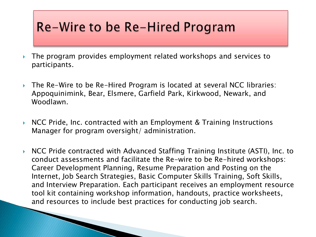## Re-Wire to be Re-Hired Program

- The program provides employment related workshops and services to participants.
- ▶ The Re-Wire to be Re-Hired Program is located at several NCC libraries: Appoquinimink, Bear, Elsmere, Garfield Park, Kirkwood, Newark, and Woodlawn.
- $\triangleright$  NCC Pride, Inc. contracted with an Employment & Training Instructions Manager for program oversight/ administration.
- ▶ NCC Pride contracted with Advanced Staffing Training Institute (ASTI), Inc. to conduct assessments and facilitate the Re-wire to be Re-hired workshops: Career Development Planning, Resume Preparation and Posting on the Internet, Job Search Strategies, Basic Computer Skills Training, Soft Skills, and Interview Preparation. Each participant receives an employment resource tool kit containing workshop information, handouts, practice worksheets, and resources to include best practices for conducting job search.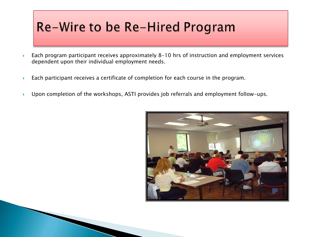## Re-Wire to be Re-Hired Program

- ▶ Each program participant receives approximately 8-10 hrs of instruction and employment services dependent upon their individual employment needs.
- Each participant receives a certificate of completion for each course in the program.
- ▶ Upon completion of the workshops, ASTI provides job referrals and employment follow-ups.

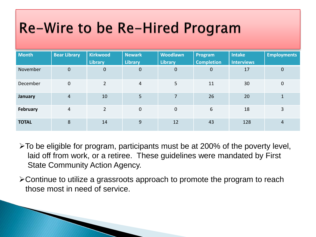# Re-Wire to be Re-Hired Program

| Month          | <b>Bear Library</b> | <b>Kirkwood</b><br><b>Library</b> | <b>Newark</b><br><b>Library</b> | <b>Woodlawn</b><br><b>Library</b> | Program<br><b>Completion</b> | <b>Intake</b><br>Interviews | <b>Employments</b>   |
|----------------|---------------------|-----------------------------------|---------------------------------|-----------------------------------|------------------------------|-----------------------------|----------------------|
| November       | $\mathbf{0}$        | $\mathbf{0}$                      | $\pmb{0}$                       | $\boldsymbol{0}$                  | $\mathbf 0$                  | 17                          | 0                    |
| December       | $\mathbf 0$         | $\overline{2}$                    | $\overline{4}$                  | 5                                 | 11                           | 30                          | 0                    |
| <b>January</b> | $\overline{4}$      | 10                                | 5                               | 7                                 | 26                           | 20                          | $\blacktriangleleft$ |
| February       | $\overline{4}$      | $\overline{2}$                    | $\mathbf{0}$                    | $\mathbf 0$                       | 6                            | 18                          | 3                    |
| <b>TOTAL</b>   | 8                   | 14                                | 9                               | 12                                | 43                           | 128                         | 4                    |

- $\geq$ To be eligible for program, participants must be at 200% of the poverty level, laid off from work, or a retiree. These guidelines were mandated by First State Community Action Agency.
- Continue to utilize a grassroots approach to promote the program to reach those most in need of service.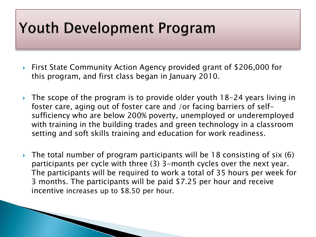## **Youth Development Program**

- ▶ First State Community Action Agency provided grant of \$206,000 for this program, and first class began in January 2010.
- $\rightarrow$  The scope of the program is to provide older youth 18-24 years living in foster care, aging out of foster care and /or facing barriers of selfsufficiency who are below 200% poverty, unemployed or underemployed with training in the building trades and green technology in a classroom setting and soft skills training and education for work readiness.
- $\rightarrow$  The total number of program participants will be 18 consisting of six (6) participants per cycle with three (3) 3-month cycles over the next year. The participants will be required to work a total of 35 hours per week for 3 months. The participants will be paid \$7.25 per hour and receive incentive increases up to \$8.50 per hour.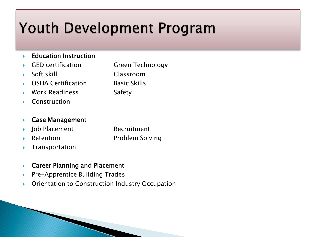# **Youth Development Program**

#### **Education Instruction**

- GED certification Green Technology
- Soft skill Classroom
- OSHA Certification Basic Skills
- Work Readiness Safety
- Construction

#### ▶ Case Management

- ▶ Job Placement Recruitment
- Retention **Problem Solving**
- $\blacktriangleright$  Transportation

#### ▶ Career Planning and Placement

- ▶ Pre-Apprentice Building Trades
- **Dividentation to Construction Industry Occupation**